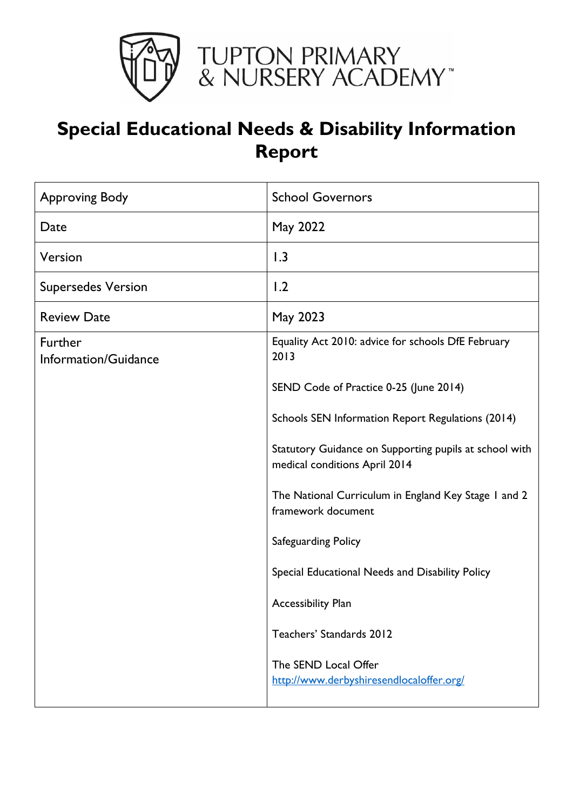

# **Special Educational Needs & Disability Information Report**

| <b>Approving Body</b>           | <b>School Governors</b>                                                                 |
|---------------------------------|-----------------------------------------------------------------------------------------|
| Date                            | May 2022                                                                                |
| Version                         | 1.3                                                                                     |
| <b>Supersedes Version</b>       | 1.2                                                                                     |
| <b>Review Date</b>              | May 2023                                                                                |
| Further<br>Information/Guidance | Equality Act 2010: advice for schools DfE February<br>2013                              |
|                                 | SEND Code of Practice 0-25 (June 2014)                                                  |
|                                 | Schools SEN Information Report Regulations (2014)                                       |
|                                 | Statutory Guidance on Supporting pupils at school with<br>medical conditions April 2014 |
|                                 | The National Curriculum in England Key Stage I and 2<br>framework document              |
|                                 | Safeguarding Policy                                                                     |
|                                 | Special Educational Needs and Disability Policy                                         |
|                                 | <b>Accessibility Plan</b>                                                               |
|                                 | Teachers' Standards 2012                                                                |
|                                 | The SEND Local Offer<br>http://www.derbyshiresendlocaloffer.org/                        |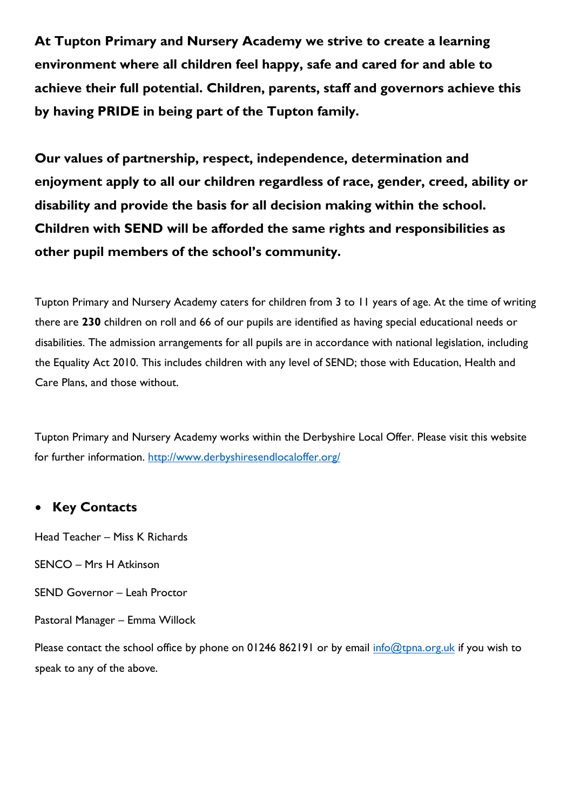**At Tupton Primary and Nursery Academy we strive to create a learning environment where all children feel happy, safe and cared for and able to achieve their full potential. Children, parents, staff and governors achieve this by having PRIDE in being part of the Tupton family.** 

**Our values of partnership, respect, independence, determination and enjoyment apply to all our children regardless of race, gender, creed, ability or disability and provide the basis for all decision making within the school. Children with SEND will be afforded the same rights and responsibilities as other pupil members of the school's community.** 

Tupton Primary and Nursery Academy caters for children from 3 to 11 years of age. At the time of writing there are **230** children on roll and 66 of our pupils are identified as having special educational needs or disabilities. The admission arrangements for all pupils are in accordance with national legislation, including the Equality Act 2010. This includes children with any level of SEND; those with Education, Health and Care Plans, and those without.

Tupton Primary and Nursery Academy works within the Derbyshire Local Offer. Please visit this website for further information.<http://www.derbyshiresendlocaloffer.org/>

### **Key Contacts**

Head Teacher – Miss K Richards

SENCO – Mrs H Atkinson

SEND Governor – Leah Proctor

Pastoral Manager – Emma Willock

Please contact the school office by phone on 01246 862191 or by email [info@tpna.org.uk](mailto:info@tpna.org.uk) if you wish to speak to any of the above.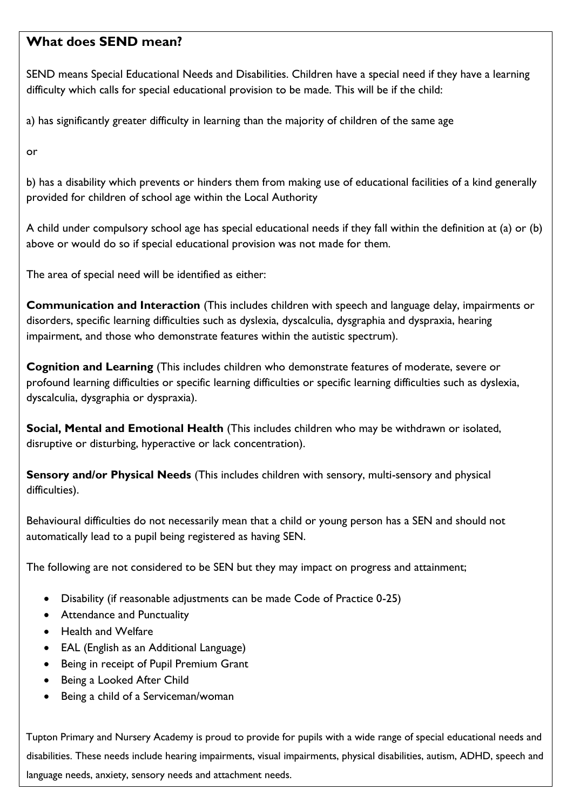## **What does SEND mean?**

SEND means Special Educational Needs and Disabilities. Children have a special need if they have a learning difficulty which calls for special educational provision to be made. This will be if the child:

a) has significantly greater difficulty in learning than the majority of children of the same age

or

b) has a disability which prevents or hinders them from making use of educational facilities of a kind generally provided for children of school age within the Local Authority

A child under compulsory school age has special educational needs if they fall within the definition at (a) or (b) above or would do so if special educational provision was not made for them.

The area of special need will be identified as either:

**Communication and Interaction** (This includes children with speech and language delay, impairments or disorders, specific learning difficulties such as dyslexia, dyscalculia, dysgraphia and dyspraxia, hearing impairment, and those who demonstrate features within the autistic spectrum).

**Cognition and Learning** (This includes children who demonstrate features of moderate, severe or profound learning difficulties or specific learning difficulties or specific learning difficulties such as dyslexia, dyscalculia, dysgraphia or dyspraxia).

**Social, Mental and Emotional Health** (This includes children who may be withdrawn or isolated, disruptive or disturbing, hyperactive or lack concentration).

**Sensory and/or Physical Needs** (This includes children with sensory, multi-sensory and physical difficulties).

Behavioural difficulties do not necessarily mean that a child or young person has a SEN and should not automatically lead to a pupil being registered as having SEN.

The following are not considered to be SEN but they may impact on progress and attainment;

- Disability (if reasonable adjustments can be made Code of Practice 0-25)
- Attendance and Punctuality
- Health and Welfare
- EAL (English as an Additional Language)
- Being in receipt of Pupil Premium Grant
- Being a Looked After Child
- Being a child of a Serviceman/woman

Tupton Primary and Nursery Academy is proud to provide for pupils with a wide range of special educational needs and disabilities. These needs include hearing impairments, visual impairments, physical disabilities, autism, ADHD, speech and language needs, anxiety, sensory needs and attachment needs.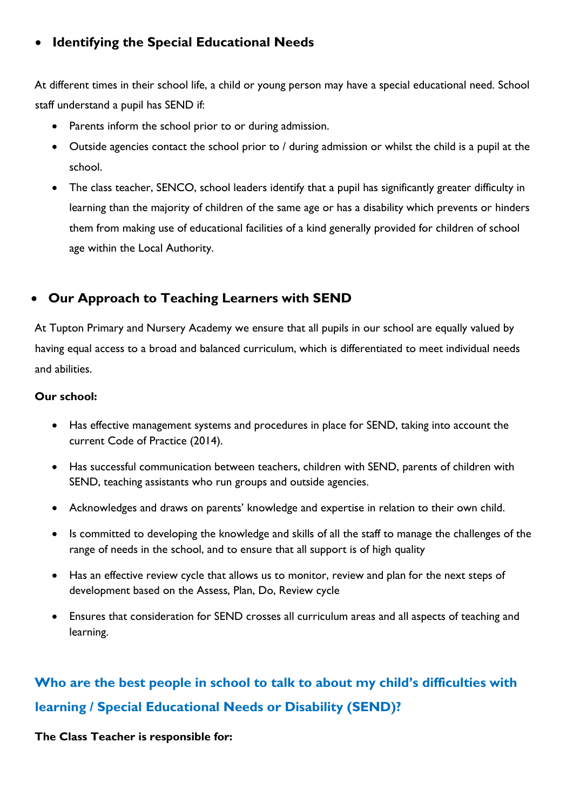## **Identifying the Special Educational Needs**

At different times in their school life, a child or young person may have a special educational need. School staff understand a pupil has SEND if:

- Parents inform the school prior to or during admission.
- Outside agencies contact the school prior to / during admission or whilst the child is a pupil at the school.
- The class teacher, SENCO, school leaders identify that a pupil has significantly greater difficulty in learning than the majority of children of the same age or has a disability which prevents or hinders them from making use of educational facilities of a kind generally provided for children of school age within the Local Authority.

## **Our Approach to Teaching Learners with SEND**

At Tupton Primary and Nursery Academy we ensure that all pupils in our school are equally valued by having equal access to a broad and balanced curriculum, which is differentiated to meet individual needs and abilities.

### **Our school:**

- Has effective management systems and procedures in place for SEND, taking into account the current Code of Practice (2014).
- Has successful communication between teachers, children with SEND, parents of children with SEND, teaching assistants who run groups and outside agencies.
- Acknowledges and draws on parents' knowledge and expertise in relation to their own child.
- Is committed to developing the knowledge and skills of all the staff to manage the challenges of the range of needs in the school, and to ensure that all support is of high quality
- Has an effective review cycle that allows us to monitor, review and plan for the next steps of development based on the Assess, Plan, Do, Review cycle
- Ensures that consideration for SEND crosses all curriculum areas and all aspects of teaching and learning.

## **Who are the best people in school to talk to about my child's difficulties with learning / Special Educational Needs or Disability (SEND)?**

**The Class Teacher is responsible for:**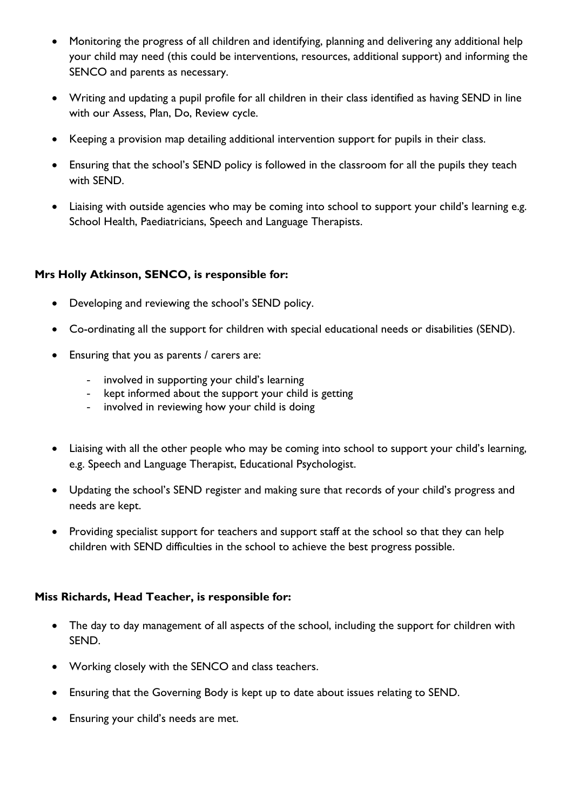- Monitoring the progress of all children and identifying, planning and delivering any additional help your child may need (this could be interventions, resources, additional support) and informing the SENCO and parents as necessary.
- Writing and updating a pupil profile for all children in their class identified as having SEND in line with our Assess, Plan, Do, Review cycle.
- Keeping a provision map detailing additional intervention support for pupils in their class.
- Ensuring that the school's SEND policy is followed in the classroom for all the pupils they teach with SEND.
- Liaising with outside agencies who may be coming into school to support your child's learning e.g. School Health, Paediatricians, Speech and Language Therapists.

### **Mrs Holly Atkinson, SENCO, is responsible for:**

- Developing and reviewing the school's SEND policy.
- Co-ordinating all the support for children with special educational needs or disabilities (SEND).
- Ensuring that you as parents / carers are:
	- involved in supporting your child's learning
	- kept informed about the support your child is getting
	- involved in reviewing how your child is doing
- Liaising with all the other people who may be coming into school to support your child's learning, e.g. Speech and Language Therapist, Educational Psychologist.
- Updating the school's SEND register and making sure that records of your child's progress and needs are kept.
- Providing specialist support for teachers and support staff at the school so that they can help children with SEND difficulties in the school to achieve the best progress possible.

### **Miss Richards, Head Teacher, is responsible for:**

- The day to day management of all aspects of the school, including the support for children with SEND.
- Working closely with the SENCO and class teachers.
- Ensuring that the Governing Body is kept up to date about issues relating to SEND.
- Ensuring your child's needs are met.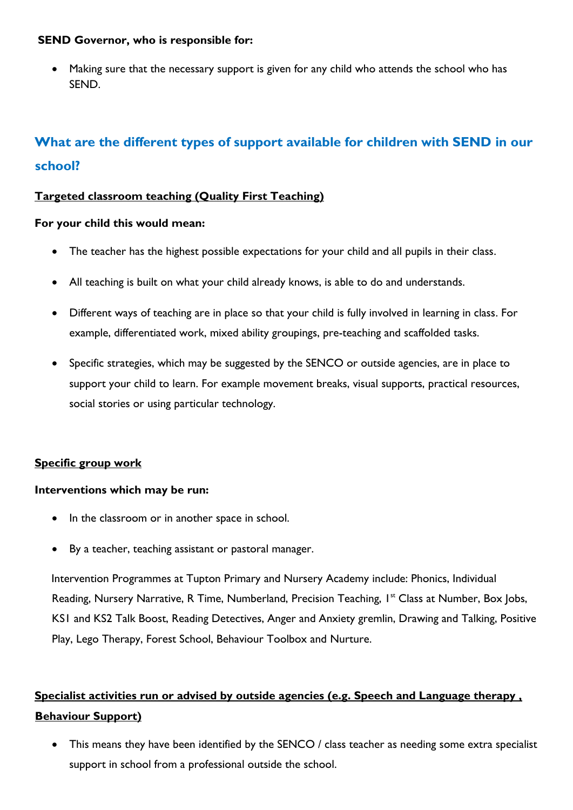### **SEND Governor, who is responsible for:**

 Making sure that the necessary support is given for any child who attends the school who has SEND.

## **What are the different types of support available for children with SEND in our school?**

### **Targeted classroom teaching (Quality First Teaching)**

#### **For your child this would mean:**

- The teacher has the highest possible expectations for your child and all pupils in their class.
- All teaching is built on what your child already knows, is able to do and understands.
- Different ways of teaching are in place so that your child is fully involved in learning in class. For example, differentiated work, mixed ability groupings, pre-teaching and scaffolded tasks.
- Specific strategies, which may be suggested by the SENCO or outside agencies, are in place to support your child to learn. For example movement breaks, visual supports, practical resources, social stories or using particular technology.

### **Specific group work**

### **Interventions which may be run:**

- In the classroom or in another space in school.
- By a teacher, teaching assistant or pastoral manager.

Intervention Programmes at Tupton Primary and Nursery Academy include: Phonics, Individual Reading, Nursery Narrative, R Time, Numberland, Precision Teaching, I<sup>st</sup> Class at Number, Box Jobs, KS1 and KS2 Talk Boost, Reading Detectives, Anger and Anxiety gremlin, Drawing and Talking, Positive Play, Lego Therapy, Forest School, Behaviour Toolbox and Nurture.

## **Specialist activities run or advised by outside agencies (e.g. Speech and Language therapy , Behaviour Support)**

• This means they have been identified by the SENCO / class teacher as needing some extra specialist support in school from a professional outside the school.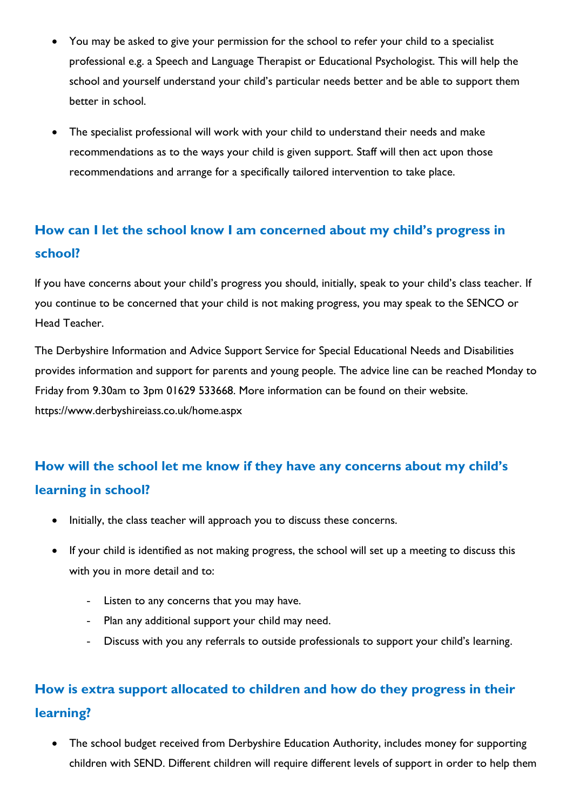- You may be asked to give your permission for the school to refer your child to a specialist professional e.g. a Speech and Language Therapist or Educational Psychologist. This will help the school and yourself understand your child's particular needs better and be able to support them better in school.
- The specialist professional will work with your child to understand their needs and make recommendations as to the ways your child is given support. Staff will then act upon those recommendations and arrange for a specifically tailored intervention to take place.

## **How can I let the school know I am concerned about my child's progress in school?**

If you have concerns about your child's progress you should, initially, speak to your child's class teacher. If you continue to be concerned that your child is not making progress, you may speak to the SENCO or Head Teacher.

The Derbyshire Information and Advice Support Service for Special Educational Needs and Disabilities provides information and support for parents and young people. The advice line can be reached Monday to Friday from 9.30am to 3pm 01629 533668. More information can be found on their website. https://www.derbyshireiass.co.uk/home.aspx

## **How will the school let me know if they have any concerns about my child's learning in school?**

- Initially, the class teacher will approach you to discuss these concerns.
- If your child is identified as not making progress, the school will set up a meeting to discuss this with you in more detail and to:
	- Listen to any concerns that you may have.
	- Plan any additional support your child may need.
	- Discuss with you any referrals to outside professionals to support your child's learning.

## **How is extra support allocated to children and how do they progress in their learning?**

 The school budget received from Derbyshire Education Authority, includes money for supporting children with SEND. Different children will require different levels of support in order to help them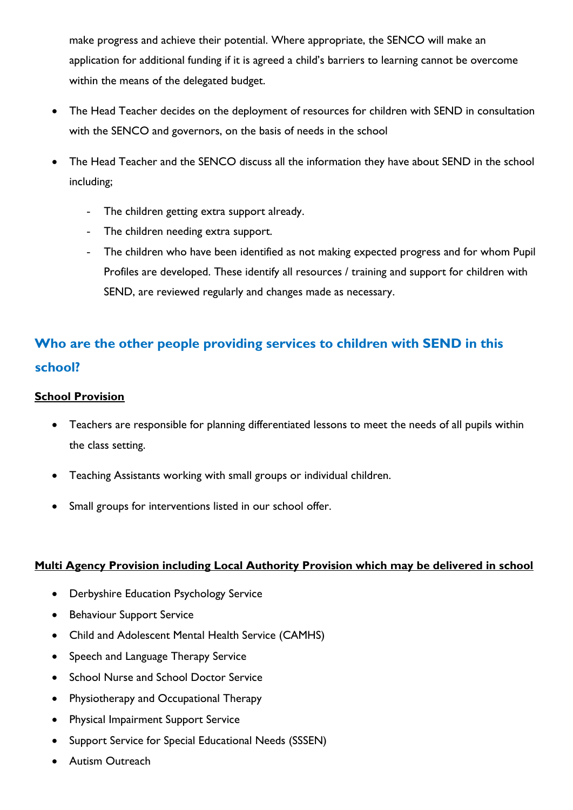make progress and achieve their potential. Where appropriate, the SENCO will make an application for additional funding if it is agreed a child's barriers to learning cannot be overcome within the means of the delegated budget.

- The Head Teacher decides on the deployment of resources for children with SEND in consultation with the SENCO and governors, on the basis of needs in the school
- The Head Teacher and the SENCO discuss all the information they have about SEND in the school including;
	- The children getting extra support already.
	- The children needing extra support.
	- The children who have been identified as not making expected progress and for whom Pupil Profiles are developed. These identify all resources / training and support for children with SEND, are reviewed regularly and changes made as necessary.

## **Who are the other people providing services to children with SEND in this school?**

### **School Provision**

- Teachers are responsible for planning differentiated lessons to meet the needs of all pupils within the class setting.
- Teaching Assistants working with small groups or individual children.
- Small groups for interventions listed in our school offer.

### **Multi Agency Provision including Local Authority Provision which may be delivered in school**

- Derbyshire Education Psychology Service
- **•** Behaviour Support Service
- Child and Adolescent Mental Health Service (CAMHS)
- Speech and Language Therapy Service
- School Nurse and School Doctor Service
- Physiotherapy and Occupational Therapy
- Physical Impairment Support Service
- Support Service for Special Educational Needs (SSSEN)
- Autism Outreach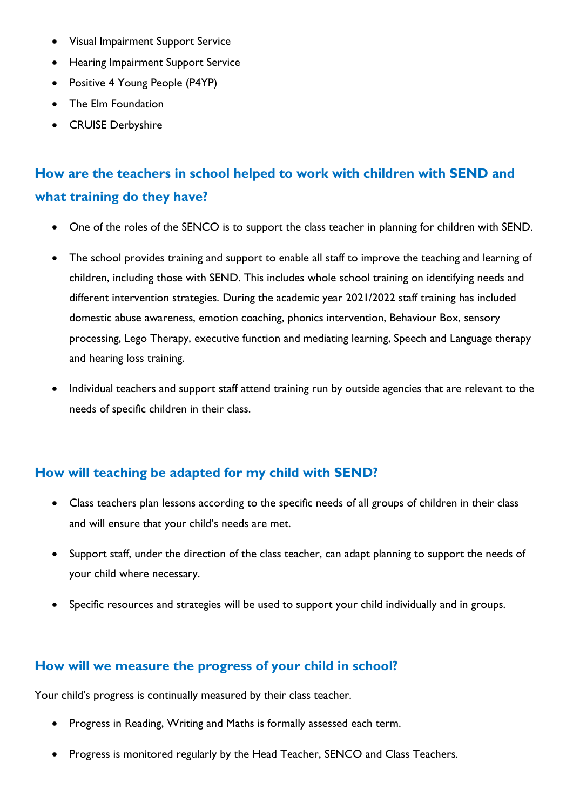- Visual Impairment Support Service
- Hearing Impairment Support Service
- Positive 4 Young People (P4YP)
- The Elm Foundation
- CRUISE Derbyshire

## **How are the teachers in school helped to work with children with SEND and what training do they have?**

- One of the roles of the SENCO is to support the class teacher in planning for children with SEND.
- The school provides training and support to enable all staff to improve the teaching and learning of children, including those with SEND. This includes whole school training on identifying needs and different intervention strategies. During the academic year 2021/2022 staff training has included domestic abuse awareness, emotion coaching, phonics intervention, Behaviour Box, sensory processing, Lego Therapy, executive function and mediating learning, Speech and Language therapy and hearing loss training.
- Individual teachers and support staff attend training run by outside agencies that are relevant to the needs of specific children in their class.

## **How will teaching be adapted for my child with SEND?**

- Class teachers plan lessons according to the specific needs of all groups of children in their class and will ensure that your child's needs are met.
- Support staff, under the direction of the class teacher, can adapt planning to support the needs of your child where necessary.
- Specific resources and strategies will be used to support your child individually and in groups.

### **How will we measure the progress of your child in school?**

Your child's progress is continually measured by their class teacher.

- Progress in Reading, Writing and Maths is formally assessed each term.
- Progress is monitored regularly by the Head Teacher, SENCO and Class Teachers.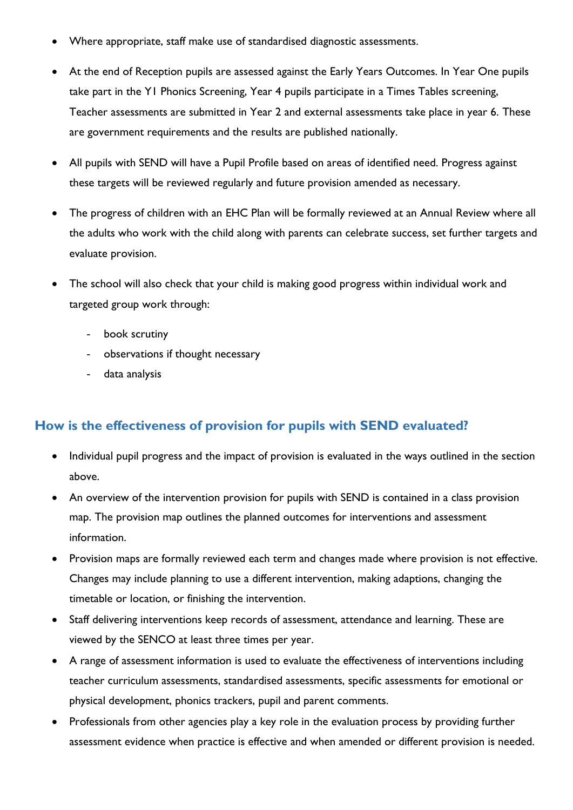- Where appropriate, staff make use of standardised diagnostic assessments.
- At the end of Reception pupils are assessed against the Early Years Outcomes. In Year One pupils take part in the Y1 Phonics Screening, Year 4 pupils participate in a Times Tables screening, Teacher assessments are submitted in Year 2 and external assessments take place in year 6. These are government requirements and the results are published nationally.
- All pupils with SEND will have a Pupil Profile based on areas of identified need. Progress against these targets will be reviewed regularly and future provision amended as necessary.
- The progress of children with an EHC Plan will be formally reviewed at an Annual Review where all the adults who work with the child along with parents can celebrate success, set further targets and evaluate provision.
- The school will also check that your child is making good progress within individual work and targeted group work through:
	- book scrutiny
	- observations if thought necessary
	- data analysis

## **How is the effectiveness of provision for pupils with SEND evaluated?**

- Individual pupil progress and the impact of provision is evaluated in the ways outlined in the section above.
- An overview of the intervention provision for pupils with SEND is contained in a class provision map. The provision map outlines the planned outcomes for interventions and assessment information.
- Provision maps are formally reviewed each term and changes made where provision is not effective. Changes may include planning to use a different intervention, making adaptions, changing the timetable or location, or finishing the intervention.
- Staff delivering interventions keep records of assessment, attendance and learning. These are viewed by the SENCO at least three times per year.
- A range of assessment information is used to evaluate the effectiveness of interventions including teacher curriculum assessments, standardised assessments, specific assessments for emotional or physical development, phonics trackers, pupil and parent comments.
- Professionals from other agencies play a key role in the evaluation process by providing further assessment evidence when practice is effective and when amended or different provision is needed.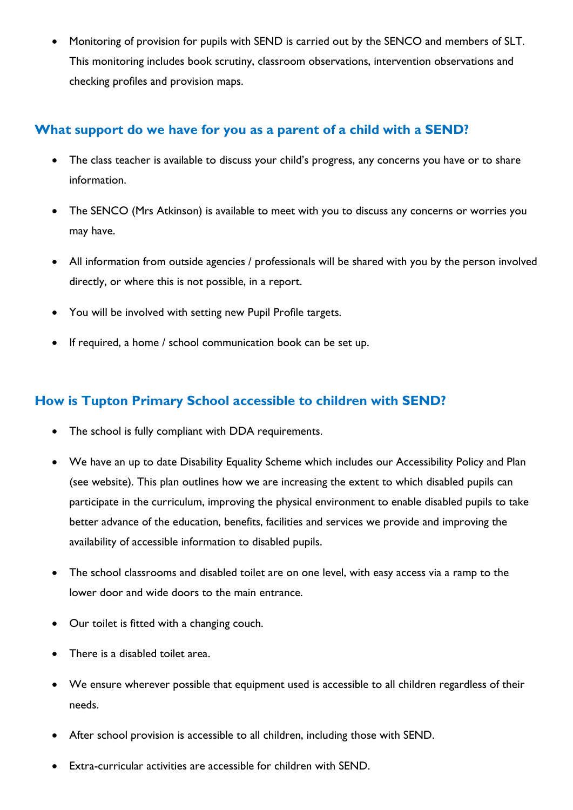Monitoring of provision for pupils with SEND is carried out by the SENCO and members of SLT. This monitoring includes book scrutiny, classroom observations, intervention observations and checking profiles and provision maps.

## **What support do we have for you as a parent of a child with a SEND?**

- The class teacher is available to discuss your child's progress, any concerns you have or to share information.
- The SENCO (Mrs Atkinson) is available to meet with you to discuss any concerns or worries you may have.
- All information from outside agencies / professionals will be shared with you by the person involved directly, or where this is not possible, in a report.
- You will be involved with setting new Pupil Profile targets.
- If required, a home / school communication book can be set up.

## **How is Tupton Primary School accessible to children with SEND?**

- The school is fully compliant with DDA requirements.
- We have an up to date Disability Equality Scheme which includes our Accessibility Policy and Plan (see website). This plan outlines how we are increasing the extent to which disabled pupils can participate in the curriculum, improving the physical environment to enable disabled pupils to take better advance of the education, benefits, facilities and services we provide and improving the availability of accessible information to disabled pupils.
- The school classrooms and disabled toilet are on one level, with easy access via a ramp to the lower door and wide doors to the main entrance.
- Our toilet is fitted with a changing couch.
- There is a disabled toilet area.
- We ensure wherever possible that equipment used is accessible to all children regardless of their needs.
- After school provision is accessible to all children, including those with SEND.
- Extra-curricular activities are accessible for children with SEND.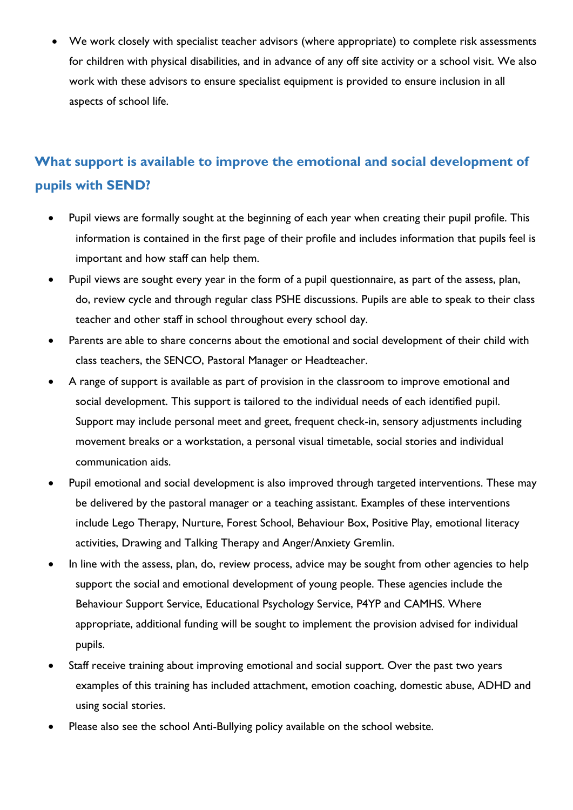We work closely with specialist teacher advisors (where appropriate) to complete risk assessments for children with physical disabilities, and in advance of any off site activity or a school visit. We also work with these advisors to ensure specialist equipment is provided to ensure inclusion in all aspects of school life.

## **What support is available to improve the emotional and social development of pupils with SEND?**

- Pupil views are formally sought at the beginning of each year when creating their pupil profile. This information is contained in the first page of their profile and includes information that pupils feel is important and how staff can help them.
- Pupil views are sought every year in the form of a pupil questionnaire, as part of the assess, plan, do, review cycle and through regular class PSHE discussions. Pupils are able to speak to their class teacher and other staff in school throughout every school day.
- Parents are able to share concerns about the emotional and social development of their child with class teachers, the SENCO, Pastoral Manager or Headteacher.
- A range of support is available as part of provision in the classroom to improve emotional and social development. This support is tailored to the individual needs of each identified pupil. Support may include personal meet and greet, frequent check-in, sensory adjustments including movement breaks or a workstation, a personal visual timetable, social stories and individual communication aids.
- Pupil emotional and social development is also improved through targeted interventions. These may be delivered by the pastoral manager or a teaching assistant. Examples of these interventions include Lego Therapy, Nurture, Forest School, Behaviour Box, Positive Play, emotional literacy activities, Drawing and Talking Therapy and Anger/Anxiety Gremlin.
- In line with the assess, plan, do, review process, advice may be sought from other agencies to help support the social and emotional development of young people. These agencies include the Behaviour Support Service, Educational Psychology Service, P4YP and CAMHS. Where appropriate, additional funding will be sought to implement the provision advised for individual pupils.
- Staff receive training about improving emotional and social support. Over the past two years examples of this training has included attachment, emotion coaching, domestic abuse, ADHD and using social stories.
- Please also see the school Anti-Bullying policy available on the school website.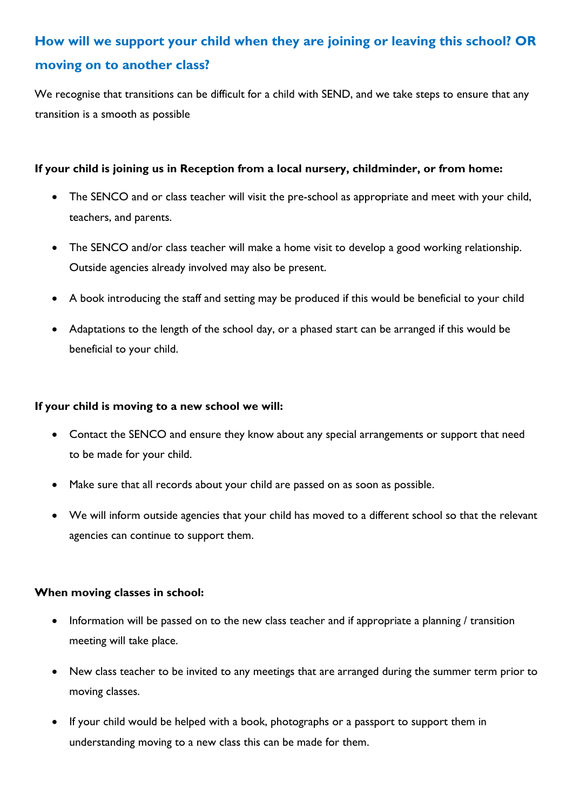## **How will we support your child when they are joining or leaving this school? OR moving on to another class?**

We recognise that transitions can be difficult for a child with SEND, and we take steps to ensure that any transition is a smooth as possible

### **If your child is joining us in Reception from a local nursery, childminder, or from home:**

- The SENCO and or class teacher will visit the pre-school as appropriate and meet with your child, teachers, and parents.
- The SENCO and/or class teacher will make a home visit to develop a good working relationship. Outside agencies already involved may also be present.
- A book introducing the staff and setting may be produced if this would be beneficial to your child
- Adaptations to the length of the school day, or a phased start can be arranged if this would be beneficial to your child.

### **If your child is moving to a new school we will:**

- Contact the SENCO and ensure they know about any special arrangements or support that need to be made for your child.
- Make sure that all records about your child are passed on as soon as possible.
- We will inform outside agencies that your child has moved to a different school so that the relevant agencies can continue to support them.

#### **When moving classes in school:**

- Information will be passed on to the new class teacher and if appropriate a planning / transition meeting will take place.
- New class teacher to be invited to any meetings that are arranged during the summer term prior to moving classes.
- If your child would be helped with a book, photographs or a passport to support them in understanding moving to a new class this can be made for them.